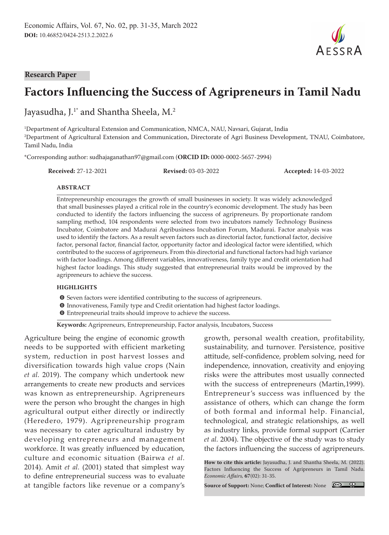

#### **Research Paper**

# **Factors Influencing the Success of Agripreneurs in Tamil Nadu**

Jayasudha, J.<sup>1\*</sup> and Shantha Sheela, M.<sup>2</sup>

1 Department of Agricultural Extension and Communication, NMCA, NAU, Navsari, Gujarat, India 2 Department of Agricultural Extension and Communication, Directorate of Agri Business Development, TNAU, Coimbatore, Tamil Nadu, India

\*Corresponding author: sudhajaganathan97@gmail.com (**ORCID ID:** 0000-0002-5657-2994)

**Received:** 27-12-2021 **Revised:** 03-03-2022 **Accepted:** 14-03-2022

#### **ABSTRACT**

Entrepreneurship encourages the growth of small businesses in society. It was widely acknowledged that small businesses played a critical role in the country's economic development. The study has been conducted to identify the factors influencing the success of agripreneurs. By proportionate random sampling method, 104 respondents were selected from two incubators namely Technology Business Incubator, Coimbatore and Madurai Agribusiness Incubation Forum, Madurai. Factor analysis was used to identify the factors. As a result seven factors such as directorial factor, functional factor, decisive factor, personal factor, financial factor, opportunity factor and ideological factor were identified, which contributed to the success of agripreneurs. From this directorial and functional factors had high variance with factor loadings. Among different variables, innovativeness, family type and credit orientation had highest factor loadings. This study suggested that entrepreneurial traits would be improved by the agripreneurs to achieve the success.

#### **HIGHLIGHTS**

- $\bullet$  Seven factors were identified contributing to the success of agripreneurs.
- **O** Innovativeness, Family type and Credit orientation had highest factor loadings.
- $\bullet$  Entrepreneurial traits should improve to achieve the success.

**Keywords:** Agripreneurs, Entrepreneurship, Factor analysis, Incubators, Success

Agriculture being the engine of economic growth needs to be supported with efficient marketing system, reduction in post harvest losses and diversification towards high value crops (Nain *et al.* 2019). The company which undertook new arrangements to create new products and services was known as entrepreneurship. Agripreneurs were the person who brought the changes in high agricultural output either directly or indirectly (Heredero, 1979). Agripreneurship program was necessary to cater agricultural industry by developing entrepreneurs and management workforce. It was greatly influenced by education, culture and economic situation (Bairwa *et al.* 2014). Amit *et al.* (2001) stated that simplest way to define entrepreneurial success was to evaluate at tangible factors like revenue or a company's

growth, personal wealth creation, profitability, sustainability, and turnover. Persistence, positive attitude, self-confidence, problem solving, need for independence, innovation, creativity and enjoying risks were the attributes most usually connected with the success of entrepreneurs (Martin,1999). Entrepreneur's success was influenced by the assistance of others, which can change the form of both formal and informal help. Financial, technological, and strategic relationships, as well as industry links, provide formal support (Carrier *et al.* 2004). The objective of the study was to study the factors influencing the success of agripreneurs.

**How to cite this article:** Jayasudha, J. and Shantha Sheela, M. (2022). Factors Influencing the Success of Agripreneurs in Tamil Nadu. *Economic Affairs,* **67**(02): 31-35.

**Source of Support:** None; **Conflict of Interest:** None

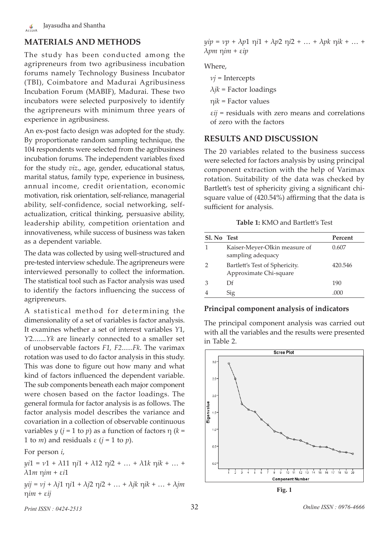# **MATERIALS AND METHODS**

The study has been conducted among the agripreneurs from two agribusiness incubation forums namely Technology Business Incubator (TBI), Coimbatore and Madurai Agribusiness Incubation Forum (MABIF), Madurai. These two incubators were selected purposively to identify the agripreneurs with minimum three years of experience in agribusiness.

An ex-post facto design was adopted for the study. By proportionate random sampling technique, the 104 respondents were selected from the agribusiness incubation forums. The independent variables fixed for the study *viz*., age, gender, educational status, marital status, family type, experience in business, annual income, credit orientation, economic motivation, risk orientation, self-reliance, managerial ability, self-confidence, social networking, selfactualization, critical thinking, persuasive ability, leadership ability, competition orientation and innovativeness, while success of business was taken as a dependent variable.

The data was collected by using well-structured and pre-tested interview schedule. The agripreneurs were interviewed personally to collect the information. The statistical tool such as Factor analysis was used to identify the factors influencing the success of agripreneurs.

A statistical method for determining the dimensionality of a set of variables is factor analysis. It examines whether a set of interest variables *Y*1, *Y*2.......*Yk* are linearly connected to a smaller set of unobservable factors *F1, F2......Fk*. The varimax rotation was used to do factor analysis in this study. This was done to figure out how many and what kind of factors influenced the dependent variable. The sub components beneath each major component were chosen based on the factor loadings. The general formula for factor analysis is as follows. The factor analysis model describes the variance and covariation in a collection of observable continuous variables *y* (*j* = 1 to *p*) as a function of factors η (*k* = 1 to *m*) and residuals  $ε$  ( $j = 1$  to *p*).

For person *i*,

*yi*1 = *ν*1 + λ11 η*i*1 + λ12 η*i*2 + … + λ1*k* η*ik* + … + λ1*m* η*im* + ε*i*1 *yij* = *νj* + λ*j*1 η*i*1 + λ*j*2 η*i*2 + … + λ*jk* η*ik* + … + λ*jm* η*im* + ε*ij*

*yip* = *νp* + λ*p*1 η*i*1 + λ*p*2 η*i*2 + … + λ*pk* η*ik* + … + λ*pm* η*im* + ε*ip*

### Where,

*νj* = Intercepts

 $\lambda$ *jk* = Factor loadings

η*ik* = Factor values

ε*ij* = residuals with zero means and correlations of zero with the factors

### **RESULTS AND DISCUSSION**

The 20 variables related to the business success were selected for factors analysis by using principal component extraction with the help of Varimax rotation. Suitability of the data was checked by Bartlett's test of sphericity giving a significant chisquare value of (420.54%) affirming that the data is sufficient for analysis.

#### **Table 1:** KMO and Bartlett's Test

| Sl. No Test |                                                          | Percent |
|-------------|----------------------------------------------------------|---------|
|             | Kaiser-Meyer-Olkin measure of<br>sampling adequacy       | 0.607   |
|             | Bartlett's Test of Sphericity.<br>Approximate Chi-square | 420.546 |
|             | Df                                                       | 190     |
|             | Sig                                                      | .000    |

### **Principal component analysis of indicators**

The principal component analysis was carried out with all the variables and the results were presented in Table 2.



**Fig. 1**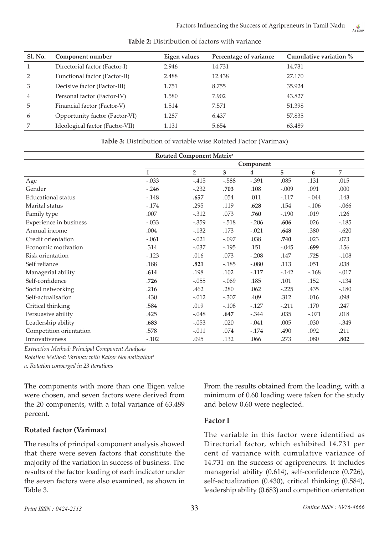| Sl. No.        | Component number                | Eigen values | Percentage of variance | Cumulative variation % |
|----------------|---------------------------------|--------------|------------------------|------------------------|
| $\mathbf{1}$   | Directorial factor (Factor-I)   | 2.946        | 14.731                 | 14.731                 |
| 2              | Functional factor (Factor-II)   | 2.488        | 12.438                 | 27.170                 |
| 3              | Decisive factor (Factor-III)    | 1.751        | 8.755                  | 35.924                 |
| $\overline{4}$ | Personal factor (Factor-IV)     | 1.580        | 7.902                  | 43.827                 |
| 5              | Financial factor (Factor-V)     | 1.514        | 7.571                  | 51.398                 |
| 6              | Opportunity factor (Factor-VI)  | 1.287        | 6.437                  | 57.835                 |
| 7              | Ideological factor (Factor-VII) | 1.131        | 5.654                  | 63.489                 |

**Table 2:** Distribution of factors with variance

**Table 3:** Distribution of variable wise Rotated Factor (Varimax)

| Rotated Component Matrix <sup>a</sup> |              |                |         |         |         |         |         |  |  |  |
|---------------------------------------|--------------|----------------|---------|---------|---------|---------|---------|--|--|--|
|                                       | Component    |                |         |         |         |         |         |  |  |  |
|                                       | $\mathbf{1}$ | $\overline{2}$ | 3       | 4       | 5       | 6       | 7       |  |  |  |
| Age                                   | $-.033$      | $-.415$        | $-.588$ | $-.391$ | .085    | .131    | .015    |  |  |  |
| Gender                                | $-.246$      | $-.232$        | .703    | .108    | $-.009$ | .091    | .000    |  |  |  |
| <b>Educational</b> status             | $-.148$      | .657           | .054    | .011    | $-.117$ | $-.044$ | .143    |  |  |  |
| Marital status                        | $-.174$      | .295           | .119    | .628    | .154    | $-.106$ | $-.066$ |  |  |  |
| Family type                           | .007         | $-.312$        | .073    | .760    | $-.190$ | .019    | .126    |  |  |  |
| Experience in business                | $-.033$      | $-.359$        | $-.518$ | $-.206$ | .606    | .026    | $-.185$ |  |  |  |
| Annual income                         | .004         | $-.132$        | .173    | $-.021$ | .648    | .380    | $-.620$ |  |  |  |
| Credit orientation                    | $-.061$      | $-.021$        | $-.097$ | .038    | .740    | .023    | .073    |  |  |  |
| Economic motivation                   | .314         | $-.037$        | $-.195$ | .151    | $-.045$ | .699    | .156    |  |  |  |
| Risk orientation                      | $-.123$      | .016           | .073    | $-.208$ | .147    | .725    | $-.108$ |  |  |  |
| Self reliance                         | .188         | .821           | $-.185$ | $-.080$ | .113    | .051    | .038    |  |  |  |
| Managerial ability                    | .614         | .198           | .102    | $-.117$ | $-142$  | $-.168$ | $-.017$ |  |  |  |
| Self-confidence                       | .726         | $-.055$        | $-.069$ | .185    | .101    | .152    | $-.134$ |  |  |  |
| Social networking                     | .216         | .462           | .280    | .062    | $-.225$ | .435    | $-.180$ |  |  |  |
| Self-actualisation                    | .430         | $-.012$        | $-.307$ | .409    | .312    | .016    | .098    |  |  |  |
| Critical thinking                     | .584         | .019           | $-.108$ | $-.127$ | $-.211$ | .170    | .247    |  |  |  |
| Persuasive ability                    | .425         | $-.048$        | .647    | $-.344$ | .035    | $-.071$ | .018    |  |  |  |
| Leadership ability                    | .683         | $-.053$        | .020    | $-.041$ | .005    | .030    | $-.349$ |  |  |  |
| Competition orientation               | .578         | $-.011$        | .074    | $-.174$ | .490    | .092    | .211    |  |  |  |
| Innovativeness                        | $-.102$      | .095           | .132    | .066    | .273    | .080    | .802    |  |  |  |

*Extraction Method: Principal Component Analysis*

*Rotation Method: Varimax with Kaiser Normalizationa*

*a. Rotation converged in 23 iterations*

The components with more than one Eigen value were chosen, and seven factors were derived from the 20 components, with a total variance of 63.489 percent.

#### **Rotated factor (Varimax)**

The results of principal component analysis showed that there were seven factors that constitute the majority of the variation in success of business. The results of the factor loading of each indicator under the seven factors were also examined, as shown in Table 3.

From the results obtained from the loading, with a minimum of 0.60 loading were taken for the study and below 0.60 were neglected.

#### **Factor I**

The variable in this factor were identified as Directorial factor, which exhibited 14.731 per cent of variance with cumulative variance of 14.731 on the success of agripreneurs. It includes managerial ability (0**.**614), self-confidence (0.726), self-actualization (0.430), critical thinking (0.584), leadership ability (0.683) and competition orientation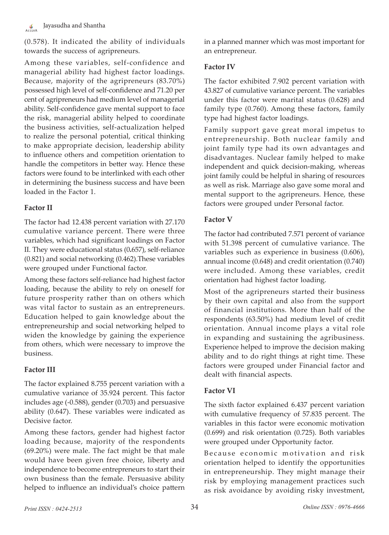(0.578). It indicated the ability of individuals towards the success of agripreneurs.

Among these variables, self-confidence and managerial ability had highest factor loadings. Because, majority of the agripreneurs (83.70%) possessed high level of self-confidence and 71.20 per cent of agripreneurs had medium level of managerial ability. Self-confidence gave mental support to face the risk, managerial ability helped to coordinate the business activities, self-actualization helped to realize the personal potential, critical thinking to make appropriate decision, leadership ability to influence others and competition orientation to handle the competitors in better way. Hence these factors were found to be interlinked with each other in determining the business success and have been loaded in the Factor 1.

### **Factor II**

The factor had 12.438 percent variation with 27.170 cumulative variance percent. There were three variables, which had significant loadings on Factor II. They were educational status (0**.**657), self-reliance (0.821) and social networking (0.462).These variables were grouped under Functional factor.

Among these factors self-reliance had highest factor loading, because the ability to rely on oneself for future prosperity rather than on others which was vital factor to sustain as an entrepreneurs. Education helped to gain knowledge about the entrepreneurship and social networking helped to widen the knowledge by gaining the experience from others, which were necessary to improve the business.

# **Factor III**

The factor explained 8.755 percent variation with a cumulative variance of 35.924 percent. This factor includes age (-0.588), gender (0.703) and persuasive ability (0.647). These variables were indicated as Decisive factor.

Among these factors, gender had highest factor loading because, majority of the respondents (69.20%) were male. The fact might be that male would have been given free choice, liberty and independence to become entrepreneurs to start their own business than the female. Persuasive ability helped to influence an individual's choice pattern in a planned manner which was most important for an entrepreneur.

### **Factor IV**

The factor exhibited 7.902 percent variation with 43.827 of cumulative variance percent. The variables under this factor were marital status (0.628) and family type (0.760). Among these factors, family type had highest factor loadings.

Family support gave great moral impetus to entrepreneurship. Both nuclear family and joint family type had its own advantages and disadvantages. Nuclear family helped to make independent and quick decision-making, whereas joint family could be helpful in sharing of resources as well as risk. Marriage also gave some moral and mental support to the agripreneurs. Hence, these factors were grouped under Personal factor.

# **Factor V**

The factor had contributed 7.571 percent of variance with 51.398 percent of cumulative variance. The variables such as experience in business (0.606), annual income (0.648) and credit orientation (0.740) were included. Among these variables, credit orientation had highest factor loading.

Most of the agripreneurs started their business by their own capital and also from the support of financial institutions. More than half of the respondents (63.50%) had medium level of credit orientation. Annual income plays a vital role in expanding and sustaining the agribusiness. Experience helped to improve the decision making ability and to do right things at right time. These factors were grouped under Financial factor and dealt with financial aspects.

# **Factor VI**

The sixth factor explained 6.437 percent variation with cumulative frequency of 57.835 percent. The variables in this factor were economic motivation (0.699) and risk orientation (0.725). Both variables were grouped under Opportunity factor.

Because economic motivation and risk orientation helped to identify the opportunities in entrepreneurship. They might manage their risk by employing management practices such as risk avoidance by avoiding risky investment,